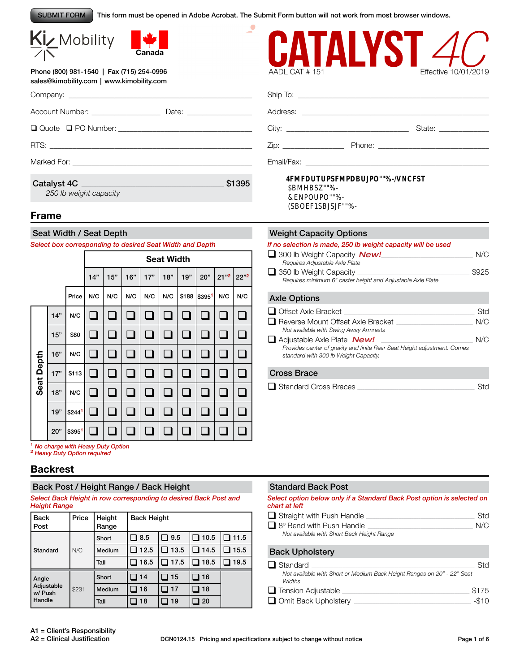SUBMIT FORM

This form must be opened in Adobe Acrobat. The Submit Form button will not work from most browser windows.





Phone (800) 981-1540 | Fax (715) 254-0996 sales@kimobility.com | www.kimobility.com

| Account Number: ___________________   |        |
|---------------------------------------|--------|
|                                       |        |
|                                       |        |
|                                       |        |
| Catalyst 4C<br>250 lb weight capacity | \$1395 |
|                                       |        |

### **Frame**

#### Seat Width / Seat Depth

*Select box corresponding to desired Seat Width and Depth* 

|            |     |        | <b>Seat Width</b> |                          |     |           |     |       |        |                             |                    |
|------------|-----|--------|-------------------|--------------------------|-----|-----------|-----|-------|--------|-----------------------------|--------------------|
|            |     |        | 14"               | 15"                      | 16" | 17"       | 18" | 19"   | 20"    | $21^{n2}$                   | $22"$ <sup>2</sup> |
|            |     | Price  | N/C               | N/C                      | N/C | N/C       | N/C | \$188 | \$3951 | N/C                         | N/C                |
|            | 14" | N/C    |                   |                          |     |           |     |       |        |                             |                    |
|            | 15" | \$80   |                   | Ò                        |     | $\Box$    |     |       |        | $\mathcal{L}_{\mathcal{A}}$ | m.                 |
|            | 16" | N/C    |                   | $\overline{\phantom{a}}$ |     |           |     |       |        | $\mathcal{L}$               |                    |
| Seat Depth | 17" | \$113  |                   |                          |     |           |     |       |        | $\overline{\phantom{a}}$    |                    |
|            | 18" | N/C    | n.                | ⊔                        |     | $\bigcup$ | n.  |       |        | $\mathcal{L}_{\mathcal{A}}$ | <b>COL</b>         |
|            | 19" | \$2441 |                   |                          |     |           |     |       |        |                             |                    |
|            | 20" | \$3951 |                   | $\mathcal{L}$            |     |           |     |       |        |                             |                    |

| IAI<br>AADL CAT #151 | Effective 10/01/2019                                                                                                                                                                                                           |
|----------------------|--------------------------------------------------------------------------------------------------------------------------------------------------------------------------------------------------------------------------------|
|                      |                                                                                                                                                                                                                                |
|                      |                                                                                                                                                                                                                                |
|                      | State: The State of the State of the State of the State of the State of the State of the State of the State of the State of the State of the State of the State of the State of the State of the State of the State of the Sta |
|                      | Phone: the contract of the contract of the contract of the contract of the contract of the contract of the contract of the contract of the contract of the contract of the contract of the contract of the contract of the con |
| Email/Fax:           |                                                                                                                                                                                                                                |

#### 4FMFDUTUPSFMPDBUJPO-/NCFST \$BMHBS-ENPOUPO-(SBOEF1SBJSJF-

#### Weight Capacity Options

| If no selection is made, 250 lb weight capacity will be used<br>$\Box$ 300 lb Weight Capacity <b>New!</b><br>Requires Adjustable Axle Plate              | N/C   |
|----------------------------------------------------------------------------------------------------------------------------------------------------------|-------|
| $\Box$ 350 lb Weight Capacity<br>Requires minimum 6" caster height and Adjustable Axle Plate                                                             | \$925 |
| <b>Axle Options</b>                                                                                                                                      |       |
| $\Box$ Offset Axle Bracket                                                                                                                               | Std   |
| □ Reverse Mount Offset Axle Bracket<br>Not available with Swing Away Armrests                                                                            | N/C   |
| $\Box$ Adjustable Axle Plate $New!$<br>Provides center of gravity and finite Rear Seat Height adjustment. Comes<br>standard with 300 lb Weight Capacity. | N/C   |

### Cross Brace

| Standard Cross Braces | Std |
|-----------------------|-----|
|                       |     |

**<sup>1</sup>** *No charge with Heavy Duty Option* **<sup>2</sup>** *Heavy Duty Option required*

### **Backrest**

### Back Post / Height Range / Back Height

*Select Back Height in row corresponding to desired Back Post and Height Range* 

| <b>Back</b><br>Post   | Price | Height<br>Range | <b>Back Height</b> |        |      |      |  |
|-----------------------|-------|-----------------|--------------------|--------|------|------|--|
|                       |       | Short           | ■ 8.5              | ■ 9.5  | 10.5 | 11.5 |  |
| Standard              | N/C   | <b>Medium</b>   | 12.5               | 13.5   | 14.5 | 15.5 |  |
|                       |       | Tall            | 16.5               | ■ 17.5 | 18.5 | 19.5 |  |
| Angle                 |       | Short           | 14                 | 15     | 16   |      |  |
| Adjustable<br>w/ Push | \$231 | Medium          | 16                 | 17     | 18   |      |  |
| Handle                |       | Tall            | 18                 | 19     | 20   |      |  |

#### Standard Back Post

*Select option below only if a Standard Back Post option is selected on chart at left*

| $\Box$ Straight with Push Handle           | Std |
|--------------------------------------------|-----|
| $\Box$ 8° Bend with Push Handle            | N/C |
| Not available with Short Back Height Range |     |

#### Back Upholstery

| $\Box$ Standard                                                                   | Std     |
|-----------------------------------------------------------------------------------|---------|
| Not available with Short or Medium Back Height Ranges on 20" - 22" Seat<br>Widths |         |
| $\Box$ Tension Adjustable                                                         | \$175   |
| $\Box$ Omit Back Upholstery                                                       | $-\$10$ |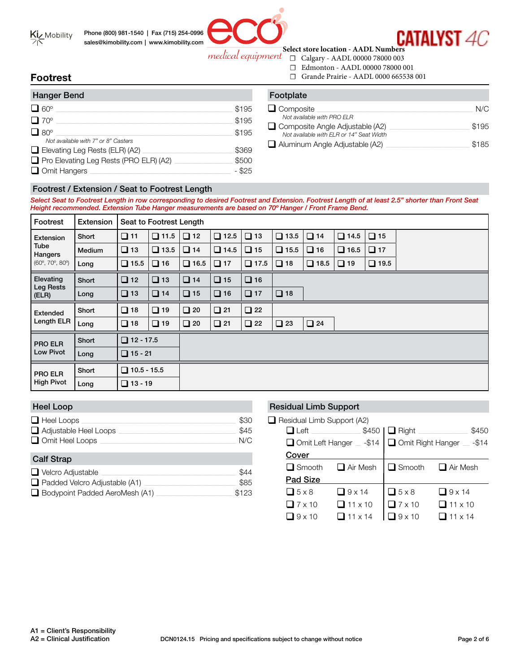



**CATALYST 4C** 

**Select store location - AADL Numbers** medical equipment

- ☐ Calgary AADL 00000 78000 003
- ☐ Edmonton AADL 00000 78000 001
- ☐ Grande Prairie AADL 0000 665538 001

# **Footrest**

| <b>Hanger Bend</b>                                                   |                   |
|----------------------------------------------------------------------|-------------------|
| $\Box$ 60 $^{\circ}$                                                 | \$195             |
| $\Box$ 70 $^{\circ}$                                                 | \$195             |
| $\Box$ 80 $^{\circ}$<br>Not available with 7" or 8" Casters          | \$195             |
| $\Box$ Elevating Leg Rests (ELR) (A2)                                | \$369             |
| $\Box$ Pro Elevating Leg Rests (PRO ELR) (A2)<br>$\Box$ Omit Hangers | \$500<br>$-$ \$25 |

| Footplate                                                                          |       |
|------------------------------------------------------------------------------------|-------|
| $\Box$ Composite<br>Not available with PRO ELR                                     | N/C   |
| $\Box$ Composite Angle Adjustable (A2)<br>Not available with ELR or 14" Seat Width | \$195 |
| $\Box$ Aluminum Angle Adjustable (A2)                                              | \$185 |

### Footrest / Extension / Seat to Footrest Length

*Select Seat to Footrest Length in row corresponding to desired Footrest and Extension. Footrest Length of at least 2.5" shorter than Front Seat Height recommended. Extension Tube Hanger measurements are based on 70º Hanger / Front Frame Bend.* 

| Footrest                               | Extension |                    | Seat to Footrest Length |             |             |             |              |             |             |             |  |
|----------------------------------------|-----------|--------------------|-------------------------|-------------|-------------|-------------|--------------|-------------|-------------|-------------|--|
| Extension<br>Tube<br>Hangers           | Short     | $\Box$ 11          | $\Box$ 11.5             | $\Box$ 12   | $\Box$ 12.5 | $\Box$ 13   | $\Box$ 13.5  | $\Box$ 14   | $\Box$ 14.5 | $\Box$ 15   |  |
|                                        | Medium    | $\Box$ 13          | $\Box$ 13.5             | $\Box$ 14   | $\Box$ 14.5 | $\Box$ 15   | $\Box$ 15.5  | $\Box$ 16   | $\Box$ 16.5 | $\Box$ 17   |  |
| $(60^{\circ}, 70^{\circ}, 80^{\circ})$ | Long      | $\Box$ 15.5        | $\Box$ 16               | $\Box$ 16.5 | $\Box$ 17   | $\Box$ 17.5 | $\Box$ 18    | $\Box$ 18.5 | $\Box$ 19   | $\Box$ 19.5 |  |
| Elevating<br>Leg Rests<br>(ELR)        | Short     | $\Box$ 12          | $\Box$ 13               | $\Box$ 14   | $\Box$ 15   | $\Box$ 16   |              |             |             |             |  |
|                                        | Long      | $\Box$ 13          | $\Box$ 14               | $\Box$ 15   | $\Box$ 16   | $\Box$ 17   | $\Box$ 18    |             |             |             |  |
| Extended                               | Short     | $\Box$ 18          | $\Box$ 19               | $\Box$ 20   | $\Box$ 21   | $\Box$ 22   |              |             |             |             |  |
| Length ELR                             | Long      | $\Box$ 18          | $\Box$ 19               | $\Box$ 20   | $\Box$ 21   | $\Box$ 22   | $\square$ 23 | $\Box$ 24   |             |             |  |
| <b>PRO ELR</b>                         | Short     | $\Box$ 12 - 17.5   |                         |             |             |             |              |             |             |             |  |
| Low Pivot                              | Long      | $\Box$ 15 - 21     |                         |             |             |             |              |             |             |             |  |
| <b>PRO ELR</b>                         | Short     | $\Box$ 10.5 - 15.5 |                         |             |             |             |              |             |             |             |  |
| <b>High Pivot</b>                      | Long      | $\Box$ 13 - 19     |                         |             |             |             |              |             |             |             |  |

### Heel Loop

| $\Box$ Heel Loops<br>$\Box$ Adjustable Heel Loops<br>Omit Heel Loops | \$30<br>\$45<br>N/C |
|----------------------------------------------------------------------|---------------------|
| <b>Calf Strap</b>                                                    |                     |
| $\Box$ Velcro Adjustable                                             | \$44                |
| $\Box$ Padded Velcro Adjustable (A1)                                 | \$85                |
| Bodypoint Padded AeroMesh (A1)                                       | \$123               |

#### Residual Limb Support

 $\Box$  Residual Limb Support (A2)

| $\Box$ Left   | $$450$                   | $\Box$ Right $\Box$ | \$450                     |
|---------------|--------------------------|---------------------|---------------------------|
|               | Omit Left Hanger _ -\$14 |                     | Omit Right Hanger _ -\$14 |
| Cover         |                          |                     |                           |
| $\Box$ Smooth | $\Box$ Air Mesh          | Smooth              | $\Box$ Air Mesh           |
| Pad Size      |                          |                     |                           |
| $\Box$ 5 x 8  | $\Box$ 9 x 14            | $\Box$ 5 x 8        | $\Box$ 9 x 14             |
| $\Box$ 7 x 10 | $\Box$ 11 x 10           | $\sqrt{7}$ x 10     | $\Box$ 11 x 10            |
| $\Box$ 9 x 10 | $\Box$ 11 x 14           | $9 \times 10$       | $111 \times 14$           |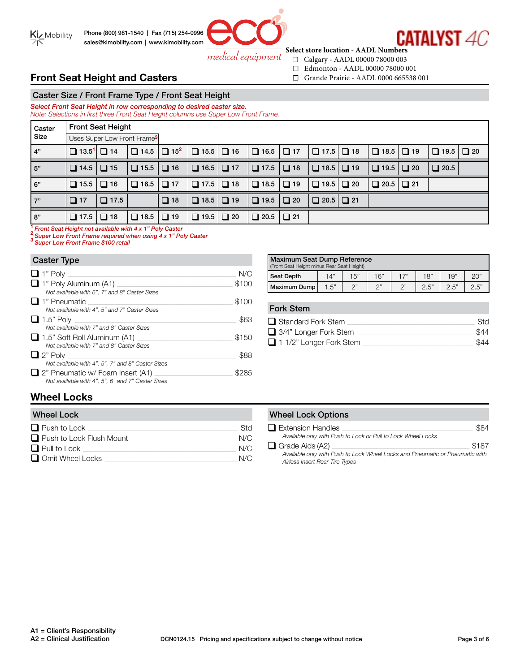

**CATALYST 4C Select store location - AADL Numbers**

medical equipment

- ☐ Calgary AADL 00000 78000 003 ☐ Edmonton - AADL 00000 78000 001
- ☐ Grande Prairie AADL 0000 665538 001

# **Front Seat Height and Casters**

Caster Size / Front Frame Type / Front Seat Height *Select Front Seat Height in row corresponding to desired caster size. Note: Selections in first three Front Seat Height columns use Super Low Front Frame.* 

| Caster                                                 | <b>Front Seat Height</b> |                                         |                                    |           |                                               |           |             |           |             |           |             |           |             |           |
|--------------------------------------------------------|--------------------------|-----------------------------------------|------------------------------------|-----------|-----------------------------------------------|-----------|-------------|-----------|-------------|-----------|-------------|-----------|-------------|-----------|
| Size                                                   |                          | Uses Super Low Front Frame <sup>3</sup> |                                    |           |                                               |           |             |           |             |           |             |           |             |           |
| 4"                                                     | $\Box$ 13.5' $\Box$ 14   |                                         | $\Box$ 14.5 $\Box$ 15 <sup>2</sup> |           | $\Box$ 15.5 $\Box$ 16                         |           | $\Box$ 16.5 | $\Box$ 17 | $\Box$ 17.5 | $\Box$ 18 | $\Box$ 18.5 | $\Box$ 19 | $\Box$ 19.5 | $\Box$ 20 |
| 5"                                                     | $\Box$ 14.5 $\Box$ 15    |                                         | $\Box$ 15.5 $\Box$ 16              |           | $\boxed{\blacksquare}$ 16.5 $\blacksquare$ 17 |           | $\Box$ 17.5 | $\Box$ 18 | $\Box$ 18.5 | $\Box$ 19 | $\Box$ 19.5 | $\Box$ 20 | $\Box$ 20.5 |           |
| 6"                                                     | $\Box$ 15.5 $\Box$ 16    |                                         | $\Box$ 16.5 $\Box$ 17              |           | $\Box$ 17.5                                   | $\Box$ 18 | $\Box$ 18.5 | $\Box$ 19 | $\Box$ 19.5 | $\Box$ 20 | $\Box$ 20.5 | $\Box$ 21 |             |           |
| 7"                                                     | $\Box$ 17                | $\Box$ 17.5                             |                                    | $\Box$ 18 |                                               |           | $\Box$ 19.5 | $\Box$ 20 | $\Box$ 20.5 | $\Box$ 21 |             |           |             |           |
| 8"                                                     | $\Box$ 17.5 $\Box$ 18    |                                         | $\Box$ 18.5 $\Box$ 19              |           | $\Box$ 19.5                                   | $\Box$ 20 | $\Box$ 20.5 | $\Box$ 21 |             |           |             |           |             |           |
| Formt Cant Holebt not published with Av 48 Dalu Contae |                          |                                         |                                    |           |                                               |           |             |           |             |           |             |           |             |           |

**<sup>1</sup>***Front Seat Height not available with 4 x 1" Poly Caster* **<sup>2</sup>***Super Low Front Frame required when using 4 x 1" Poly Caster* **<sup>3</sup>***Super Low Front Frame \$100 retail*

#### Caster Type

| $\Box$ 1" Poly                                    | N/C   |
|---------------------------------------------------|-------|
| $\Box$ 1" Poly Aluminum (A1)                      | \$100 |
| Not available with 6", 7" and 8" Caster Sizes     |       |
| l 1" Pneumatic                                    | \$100 |
| Not available with 4", 5" and 7" Caster Sizes     |       |
| $\Box$ 1.5" Poly                                  | \$63  |
| Not available with 7" and 8" Caster Sizes         |       |
| $\Box$ 1.5" Soft Roll Aluminum (A1)               | \$150 |
| Not available with 7" and 8" Caster Sizes         |       |
| $\Box$ 2" Poly                                    | \$88  |
| Not available with 4", 5", 7" and 8" Caster Sizes |       |
| $\Box$ 2" Pneumatic w/ Foam Insert (A1)           |       |
| Not available with 4", 5", 6" and 7" Caster Sizes |       |

| Maximum Seat Dump Reference<br>(Front Seat Height minus Rear Seat Height) |     |     |     |     |     |     |     |
|---------------------------------------------------------------------------|-----|-----|-----|-----|-----|-----|-----|
| Seat Depth                                                                | 14" | 15" | 16" | 17" | 18" | 19" | 20" |
| つ"<br>2.5"<br>つ"<br>n"<br>1.5"<br>2.5"<br>2.5"<br>Maximum Dump            |     |     |     |     |     |     |     |

Fork Stem

| $\Box$ Standard Fork Stem      | Std. |
|--------------------------------|------|
| $\Box$ 3/4" Longer Fork Stem   | \$44 |
| $\Box$ 1 1/2" Longer Fork Stem | \$44 |

# **Wheel Locks**

| <b>Wheel Lock</b>               |     |
|---------------------------------|-----|
| $\Box$ Push to Lock             | Std |
| $\Box$ Push to Lock Flush Mount | N/C |
| $\Box$ Pull to Lock             | N/C |
| Omit Wheel Locks                | N/C |

#### **Wheel Lock Options**

| $\Box$ Extension Handles                                                     | \$84  |
|------------------------------------------------------------------------------|-------|
| Available only with Push to Lock or Pull to Lock Wheel Locks                 |       |
| $\Box$ Grade Aids (A2)                                                       | \$187 |
| Available only with Push to Lock Wheel Locks and Pneumatic or Pneumatic with |       |
| Airless Insert Rear Tire Types                                               |       |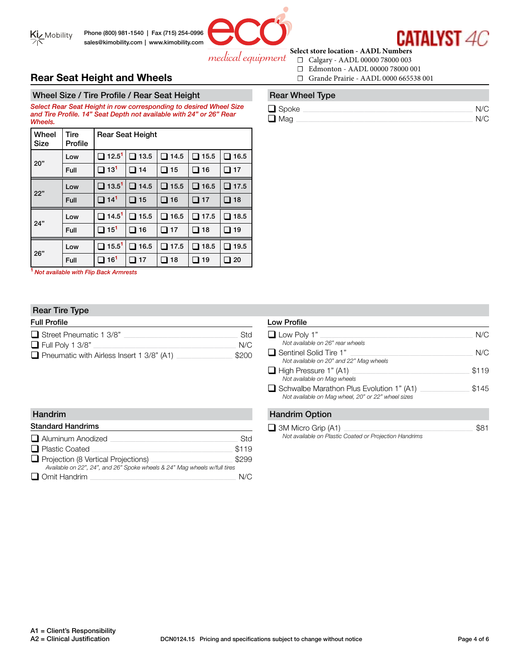

# **CATALYST 4C Select store location - AADL Numbers**

medical equipment

- ☐ Calgary AADL 00000 78000 003
- ☐ Edmonton AADL 00000 78000 001
- ☐ Grande Prairie AADL 0000 665538 001

# **Rear Seat Height and Wheels**

Wheel Size / Tire Profile / Rear Seat Height

*Select Rear Seat Height in row corresponding to desired Wheel Size and Tire Profile. 14" Seat Depth not available with 24" or 26" Rear Wheels.* 

| Wheel<br><b>Size</b> | Tire<br>Profile |                          | <b>Rear Seat Height</b> |                |                |              |
|----------------------|-----------------|--------------------------|-------------------------|----------------|----------------|--------------|
| 20"                  | Low             | $\Box$ 12.5 <sup>1</sup> | $\Box$ 13.5             | $\square$ 14.5 | $\Box$ 15.5    | $\Box$ 16.5  |
|                      | Full            | $\Box$ 13 <sup>1</sup>   | $\Box$ 14               | $\Box$ 15      | $\square$ 16   | 17<br>ப      |
|                      | Low             | $\Box$ 13.5 <sup>1</sup> | 14.5<br>$\mathbf{L}$    | $\Box$ 15.5    | $\Box$ 16.5    | $\Box$ 17.5  |
| 22"                  | Full            | $\Box$ 14 <sup>1</sup>   | 15<br>□                 | $\square$ 16   | 17<br>ப        | 18<br>ப      |
| 24"                  | Low             | $\Box$ 14.5 <sup>1</sup> | $\square$ 15.5          | $\square$ 16.5 | $\square$ 17.5 | $\Box$ 18.5  |
|                      | Full            | $\square$ 15 $^1$        | □ 16                    | $\square$ 17   | □ 18           | $\square$ 19 |
| 26"                  | Low             | $\Box$ 15.5 <sup>1</sup> | $\square$ 16.5          | $\square$ 17.5 | $\square$ 18.5 | $\Box$ 19.5  |
|                      | Full            | 16 <sup>1</sup><br>□     | 17                      | 18<br>J        | 19<br>- 1      | 20 ⊑         |

**<sup>1</sup>***Not available with Flip Back Armrests*

### Rear Tire Type

| <b>Full Profile</b>                              |            |
|--------------------------------------------------|------------|
| $\Box$ Street Pneumatic 1 3/8"                   | <b>Std</b> |
| $\Box$ Full Poly 1 3/8"                          | N/C        |
| $\Box$ Pneumatic with Airless Insert 1 3/8" (A1) | \$200      |

| <b>Handrim</b>                                                            |       | <b>Handrim Option</b>   |
|---------------------------------------------------------------------------|-------|-------------------------|
| <b>Standard Handrims</b>                                                  |       | $\Box$ 3M Micro Grip (A |
| Aluminum Anodized                                                         | Std   | Not available on Pla    |
| $\Box$ Plastic Coated                                                     | \$119 |                         |
| $\Box$ Projection (8 Vertical Projections)                                | \$299 |                         |
| Available on 22", 24", and 26" Spoke wheels & 24" Mag wheels w/full tires |       |                         |
| $\Box$ Omit Handrim                                                       | N/C   |                         |

# Rear Wheel Type

| $\Box$ Spoke | N/C |
|--------------|-----|
| $\Box$ Mag   | N/C |

| <b>Low Profile</b>                                                                                    |       |
|-------------------------------------------------------------------------------------------------------|-------|
| $\Box$ Low Poly 1"<br>Not available on 26" rear wheels                                                | N/C   |
| $\Box$ Sentinel Solid Tire 1"<br>Not available on 20" and 22" Mag wheels                              | N/C   |
| $\Box$ High Pressure 1" (A1)<br>Not available on Mag wheels                                           | \$119 |
| $\Box$ Schwalbe Marathon Plus Evolution 1" (A1)<br>Not available on Mag wheel, 20" or 22" wheel sizes | \$145 |
| <b>Handrim Option</b>                                                                                 |       |

q 3M Micro Grip (A1) \_\_\_\_\_\_\_\_\_\_\_\_\_\_\_\_\_\_\_\_\_\_\_\_\_\_\_\_\_\_\_\_\_\_\_\_\_\_\_\_\_\_\_\_\_\_\_\_\_\_\_\_\_\_\_\_\_\_\_\_\_\_\_\_\_\_\_\_\_\_\_\_\_\_\_\_ \$81 *Not available on Plastic Coated or Projection Handrims*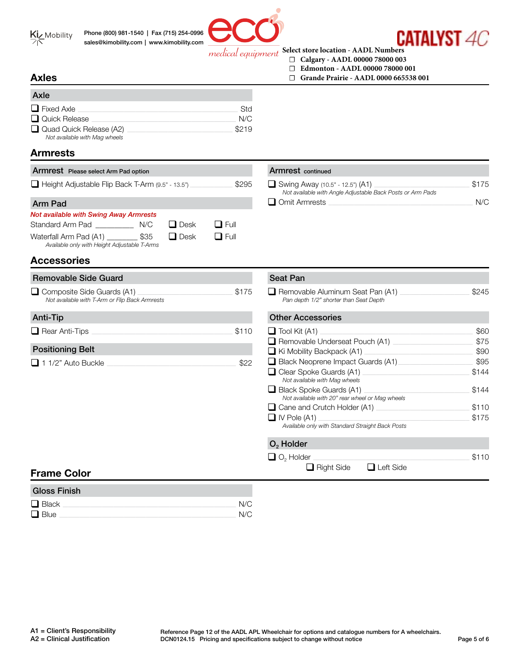

Phone (800) 981-1540 | Fax (715) 254-0996 sales@kimobility.com | www.kimobility.com



CATAI YST *ac* 

#### **Select store location - AADL Numbers** medical equipment

Armrest continued

- **☐ Calgary AADL 00000 78000 003**
- **☐ Edmonton AADL 00000 78000 001**
- **☐ Grande Prairie AADL 0000 665538 001**

### **Axles**

| Axle                                                            |            |
|-----------------------------------------------------------------|------------|
| $\Box$ Fixed Axle                                               | <b>Std</b> |
| $\Box$ Quick Release                                            | N/C        |
| $\Box$ Quad Quick Release (A2)<br>Not available with Mag wheels | \$219      |

# **Armrests**

### Armrest Please select Arm Pad option

Removable Side Guard

**Accessories**

*Not available with T-Arm or Flip Back Armrests*

|  | Height Adjustable Flip Back T-Arm (9.5" - 13.5") | \$295 |
|--|--------------------------------------------------|-------|
|--|--------------------------------------------------|-------|

# Arm Pad q Omit Armrests \_\_\_\_\_\_\_\_\_\_\_\_\_\_\_\_\_\_\_\_\_\_\_\_\_\_\_\_\_\_\_\_\_\_\_\_\_\_\_\_\_\_\_\_\_\_\_\_\_\_\_\_\_\_\_\_\_\_\_\_\_\_\_\_\_\_\_\_\_\_\_\_\_\_\_\_\_\_\_\_\_\_\_\_\_ N/C

| <b>Not available with Swing Away Armrests</b> |      |             |             |  |  |  |  |  |  |  |
|-----------------------------------------------|------|-------------|-------------|--|--|--|--|--|--|--|
| Standard Arm Pad                              | N/C  | $\Box$ Desk | $\Box$ Full |  |  |  |  |  |  |  |
| Waterfall Arm Pad (A1)                        | \$35 | $\Box$ Desk | $\Box$ Full |  |  |  |  |  |  |  |
| Available only with Height Adjustable T-Arms  |      |             |             |  |  |  |  |  |  |  |

| <b>Seat Pan</b>                                                                 |       |
|---------------------------------------------------------------------------------|-------|
| Removable Aluminum Seat Pan (A1) ____<br>Pan depth 1/2" shorter than Seat Depth | \$245 |
| <b>Other Accessories</b>                                                        |       |
| $\Box$ Tool Kit (A1)                                                            | \$60  |
| Removable Underseat Pouch (A1)                                                  | \$75  |
| $\blacksquare$ Ki Mobility Backpack (A1)                                        | \$90  |
| Black Neoprene Impact Guards (A1)                                               | \$95  |
| Clear Spoke Guards (A1)<br>Not available with Mag wheels                        | \$144 |
| Black Spoke Guards (A1)<br>Not available with 20" rear wheel or Mag wheels      | \$144 |
| Cane and Crutch Holder (A1) _____                                               | \$110 |
| I IV Pole (A1)                                                                  | \$175 |
| Available only with Standard Straight Back Posts                                |       |
| $O2$ Holder                                                                     |       |
| $\Box$ O <sub>2</sub> Holder                                                    | \$110 |
| Left Side<br><b>Right Side</b>                                                  |       |

q Swing Away (10.5" - 12.5") (A1) \_\_\_\_\_\_\_\_\_\_\_\_\_\_\_\_\_\_\_\_\_\_\_\_\_\_\_\_\_\_\_\_\_\_\_\_\_\_\_\_\_\_\_\_\_\_\_\_\_\_\_\_\_\_\_\_ \$175

*Not available with Angle Adjustable Back Posts or Arm Pads*

### Positioning Belt

Anti-Tip

| $\Box$ 1 1/2" Auto Buckle |  |  |
|---------------------------|--|--|
|---------------------------|--|--|

q Rear Anti-Tips \_\_\_\_\_\_\_\_\_\_\_\_\_\_\_\_\_\_\_\_\_\_\_\_\_\_\_\_\_\_\_\_\_\_\_\_\_\_\_\_\_\_\_\_\_\_\_\_\_\_\_\_\_\_\_\_\_\_\_\_\_\_\_\_\_\_\_\_\_\_\_\_\_\_\_\_\_\_\_\_\_\_\_ \$110

q Composite Side Guards (A1) \_\_\_\_\_\_\_\_\_\_\_\_\_\_\_\_\_\_\_\_\_\_\_\_\_\_\_\_\_\_\_\_\_\_\_\_\_\_\_\_\_\_\_\_\_\_\_\_\_\_\_\_\_\_\_\_ \$175

# **Frame Color**

| <b>Gloss Finish</b> |     |
|---------------------|-----|
| $\Box$ Black        | N/C |
| $\Box$ Blue         | N/C |